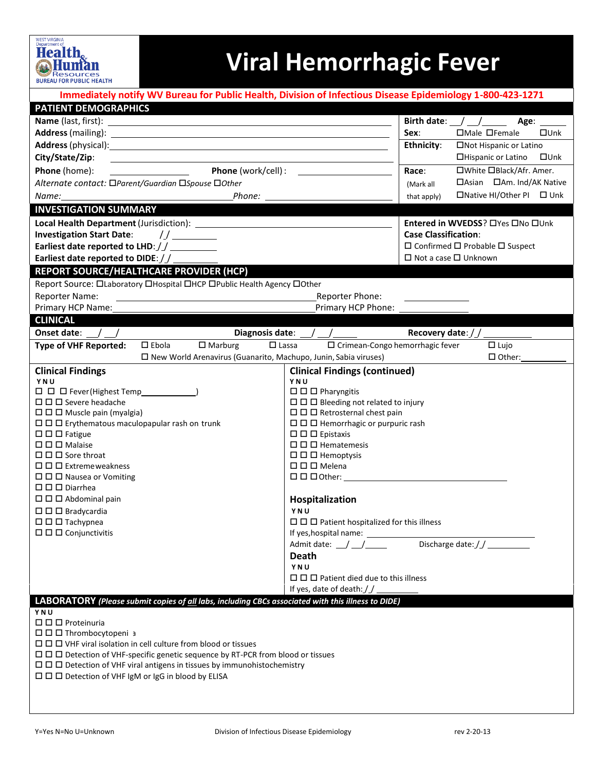

## **Viral Hemorrhagic Fever**

| Immediately notify WV Bureau for Public Health, Division of Infectious Disease Epidemiology 1-800-423-1271                            |                                                                   |                                  |                                                 |  |  |  |  |  |
|---------------------------------------------------------------------------------------------------------------------------------------|-------------------------------------------------------------------|----------------------------------|-------------------------------------------------|--|--|--|--|--|
| <b>PATIENT DEMOGRAPHICS</b>                                                                                                           |                                                                   |                                  |                                                 |  |  |  |  |  |
|                                                                                                                                       |                                                                   |                                  | Birth date: $\angle$ $\angle$ $\angle$<br>Age:  |  |  |  |  |  |
|                                                                                                                                       |                                                                   | Sex:                             | □Male □Female<br>$\square$ Unk                  |  |  |  |  |  |
|                                                                                                                                       |                                                                   | <b>Ethnicity:</b>                | □Not Hispanic or Latino                         |  |  |  |  |  |
| City/State/Zip:                                                                                                                       |                                                                   |                                  | □Hispanic or Latino □Unk                        |  |  |  |  |  |
| Phone (home):                                                                                                                         |                                                                   |                                  | □White □Black/Afr. Amer.                        |  |  |  |  |  |
| Alternate contact: □Parent/Guardian □Spouse □Other                                                                                    |                                                                   | (Mark all                        | □Asian □Am. Ind/AK Native                       |  |  |  |  |  |
| Name:                                                                                                                                 |                                                                   | that apply)                      | □Native HI/Other PI □ Unk                       |  |  |  |  |  |
| <b>INVESTIGATION SUMMARY</b>                                                                                                          |                                                                   |                                  |                                                 |  |  |  |  |  |
|                                                                                                                                       |                                                                   |                                  | Entered in WVEDSS? OYes ONo OUnk                |  |  |  |  |  |
| Investigation Start Date: //_______                                                                                                   |                                                                   |                                  | <b>Case Classification:</b>                     |  |  |  |  |  |
| Earliest date reported to LHD://__________                                                                                            |                                                                   |                                  | $\Box$ Confirmed $\Box$ Probable $\Box$ Suspect |  |  |  |  |  |
| Earliest date reported to DIDE: //                                                                                                    |                                                                   | $\Box$ Not a case $\Box$ Unknown |                                                 |  |  |  |  |  |
| REPORT SOURCE/HEALTHCARE PROVIDER (HCP)                                                                                               |                                                                   |                                  |                                                 |  |  |  |  |  |
| Report Source: OLaboratory OHospital OHCP OPublic Health Agency OOther                                                                |                                                                   |                                  |                                                 |  |  |  |  |  |
| <b>Reporter Name:</b>                                                                                                                 | Reporter Phone:                                                   |                                  |                                                 |  |  |  |  |  |
|                                                                                                                                       |                                                                   |                                  |                                                 |  |  |  |  |  |
| <b>CLINICAL</b>                                                                                                                       |                                                                   |                                  |                                                 |  |  |  |  |  |
| Onset date: $\angle$ $\angle$                                                                                                         | Diagnosis date: \end{math}                                        |                                  |                                                 |  |  |  |  |  |
| $\Box$ Ebola<br>$\Box$ Marburg<br><b>Type of VHF Reported:</b>                                                                        | □ Crimean-Congo hemorrhagic fever<br>$\Box$ Lassa                 |                                  | $\Box$ Lujo                                     |  |  |  |  |  |
| □ New World Arenavirus (Guanarito, Machupo, Junin, Sabia viruses)                                                                     |                                                                   |                                  | $\Box$ Other:                                   |  |  |  |  |  |
| <b>Clinical Findings</b>                                                                                                              | <b>Clinical Findings (continued)</b>                              |                                  |                                                 |  |  |  |  |  |
| YNU                                                                                                                                   | YNU                                                               |                                  |                                                 |  |  |  |  |  |
|                                                                                                                                       | $\square$ $\square$ $\square$ Pharyngitis                         |                                  |                                                 |  |  |  |  |  |
| $\Box$ $\Box$ Severe headache<br>$\Box$ $\Box$ Bleeding not related to injury                                                         |                                                                   |                                  |                                                 |  |  |  |  |  |
| $\Box$ $\Box$ Muscle pain (myalgia)<br>$\Box$ $\Box$ Retrosternal chest pain                                                          |                                                                   |                                  |                                                 |  |  |  |  |  |
| $\Box$ $\Box$ Erythematous maculopapular rash on trunk<br>$\Box$ $\Box$ Hemorrhagic or purpuric rash<br>$\square$ $\square$ Epistaxis |                                                                   |                                  |                                                 |  |  |  |  |  |
| $\Box$ $\Box$ Fatigue<br>$\square$ $\square$ $\square$ Malaise                                                                        |                                                                   |                                  |                                                 |  |  |  |  |  |
| $\Box$ $\Box$ Sore throat                                                                                                             | $\square$ $\square$ Hematemesis<br>$\square$ $\square$ Hemoptysis |                                  |                                                 |  |  |  |  |  |
| $\Box$ $\Box$ Extremeweakness                                                                                                         | $\square$ $\square$ $\square$ Melena                              |                                  |                                                 |  |  |  |  |  |
| $\Box$ $\Box$ Nausea or Vomiting                                                                                                      | $\square$ $\square$ $\square$ Other:                              |                                  |                                                 |  |  |  |  |  |
| $\Box$ $\Box$ Diarrhea                                                                                                                |                                                                   |                                  |                                                 |  |  |  |  |  |
| $\Box$ $\Box$ Abdominal pain                                                                                                          | Hospitalization                                                   |                                  |                                                 |  |  |  |  |  |
| $\Box$ $\Box$ Bradycardia                                                                                                             | YNU                                                               |                                  |                                                 |  |  |  |  |  |
| $\Box$ $\Box$ Tachypnea                                                                                                               | $\Box$ $\Box$ Patient hospitalized for this illness               |                                  |                                                 |  |  |  |  |  |
| $\Box$ $\Box$ $\Box$ Conjunctivitis                                                                                                   |                                                                   |                                  |                                                 |  |  |  |  |  |
|                                                                                                                                       |                                                                   |                                  | Discharge date: / /                             |  |  |  |  |  |
|                                                                                                                                       | Death                                                             |                                  |                                                 |  |  |  |  |  |
|                                                                                                                                       | YNU<br>$\Box$ $\Box$ Patient died due to this illness             |                                  |                                                 |  |  |  |  |  |
|                                                                                                                                       | If yes, date of death: / /                                        |                                  |                                                 |  |  |  |  |  |
| LABORATORY (Please submit copies of all labs, including CBCs associated with this illness to DIDE)                                    |                                                                   |                                  |                                                 |  |  |  |  |  |
| YNU                                                                                                                                   |                                                                   |                                  |                                                 |  |  |  |  |  |
| $\Box$ $\Box$ Proteinuria                                                                                                             |                                                                   |                                  |                                                 |  |  |  |  |  |
| □□□Thrombocytopeni a                                                                                                                  |                                                                   |                                  |                                                 |  |  |  |  |  |
| $\Box$ $\Box$ $\Box$ VHF viral isolation in cell culture from blood or tissues                                                        |                                                                   |                                  |                                                 |  |  |  |  |  |
| $\Box$ $\Box$ Detection of VHF-specific genetic sequence by RT-PCR from blood or tissues                                              |                                                                   |                                  |                                                 |  |  |  |  |  |
| $\Box$ $\Box$ Detection of VHF viral antigens in tissues by immunohistochemistry                                                      |                                                                   |                                  |                                                 |  |  |  |  |  |
| $\Box$ $\Box$ Detection of VHF IgM or IgG in blood by ELISA                                                                           |                                                                   |                                  |                                                 |  |  |  |  |  |
|                                                                                                                                       |                                                                   |                                  |                                                 |  |  |  |  |  |